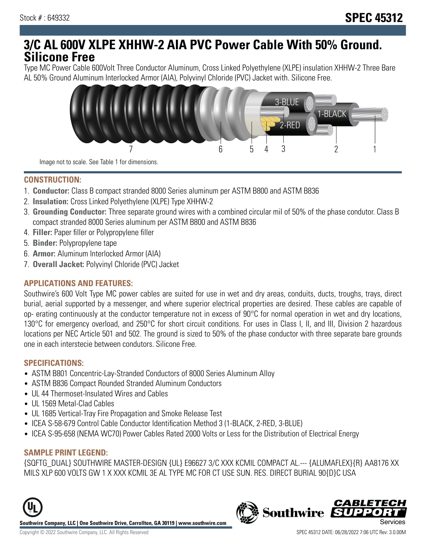## **3/C AL 600V XLPE XHHW-2 AIA PVC Power Cable With 50% Ground. Silicone Free**

Type MC Power Cable 600Volt Three Conductor Aluminum, Cross Linked Polyethylene (XLPE) insulation XHHW-2 Three Bare AL 50% Ground Aluminum Interlocked Armor (AIA), Polyvinyl Chloride (PVC) Jacket with. Silicone Free.



Image not to scale. See Table 1 for dimensions.

#### **CONSTRUCTION:**

- 1. **Conductor:** Class B compact stranded 8000 Series aluminum per ASTM B800 and ASTM B836
- 2. **Insulation:** Cross Linked Polyethylene (XLPE) Type XHHW-2
- 3. **Grounding Conductor:** Three separate ground wires with a combined circular mil of 50% of the phase condutor. Class B compact stranded 8000 Series aluminum per ASTM B800 and ASTM B836
- 4. **Filler:** Paper filler or Polypropylene filler
- 5. **Binder:** Polypropylene tape
- 6. **Armor:** Aluminum Interlocked Armor (AIA)
- 7. **Overall Jacket:** Polyvinyl Chloride (PVC) Jacket

#### **APPLICATIONS AND FEATURES:**

Southwire's 600 Volt Type MC power cables are suited for use in wet and dry areas, conduits, ducts, troughs, trays, direct burial, aerial supported by a messenger, and where superior electrical properties are desired. These cables are capable of op- erating continuously at the conductor temperature not in excess of 90°C for normal operation in wet and dry locations, 130°C for emergency overload, and 250°C for short circuit conditions. For uses in Class I, II, and III, Division 2 hazardous locations per NEC Article 501 and 502. The ground is sized to 50% of the phase conductor with three separate bare grounds one in each interstecie between condutors. Silicone Free.

#### **SPECIFICATIONS:**

- ASTM B801 Concentric-Lay-Stranded Conductors of 8000 Series Aluminum Alloy
- ASTM B836 Compact Rounded Stranded Aluminum Conductors
- UL 44 Thermoset-Insulated Wires and Cables
- UL 1569 Metal-Clad Cables
- UL 1685 Vertical-Tray Fire Propagation and Smoke Release Test
- ICEA S-58-679 Control Cable Conductor Identification Method 3 (1-BLACK, 2-RED, 3-BLUE)
- ICEA S-95-658 (NEMA WC70) Power Cables Rated 2000 Volts or Less for the Distribution of Electrical Energy

#### **SAMPLE PRINT LEGEND:**

{SQFTG\_DUAL} SOUTHWIRE MASTER-DESIGN {UL} E96627 3/C XXX KCMIL COMPACT AL.--- {ALUMAFLEX}{R} AA8176 XX MILS XLP 600 VOLTS GW 1 X XXX KCMIL 3E AL TYPE MC FOR CT USE SUN. RES. DIRECT BURIAL 90{D}C USA





CARLETEC

**Southwire**